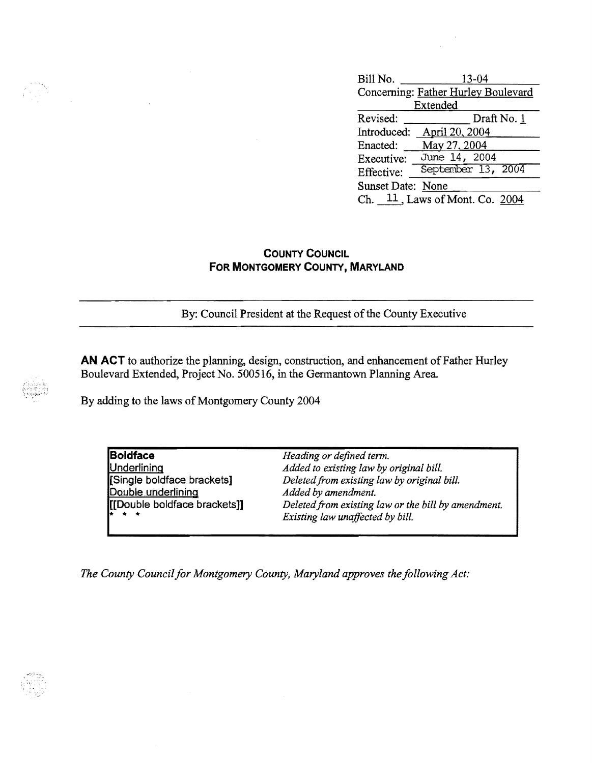| Bill No.          | 13-04                               |
|-------------------|-------------------------------------|
|                   | Concerning: Father Hurley Boulevard |
| Extended          |                                     |
| Revised:          | Draft No. 1                         |
| Introduced:       | April 20, 2004                      |
| Enacted:          | May 27, 2004                        |
| Executive:        | June 14, 2004                       |
| Effective:        | September 13, 2004                  |
| Sunset Date: None |                                     |
| Ch.               | $11$ , Laws of Mont. Co. 2004       |

## **COUNTY COUNCIL FOR MONTGOMERY COUNTY, MARYLAND**

By: Council President at the Request of the County Executive

AN ACT to authorize the planning, design, construction, and enhancement of Father Hurley Boulevard Extended, Project No. 500516, in the Germantown Planning Area

By adding to the laws of Montgomery County 2004

**Boldface** *Heading or defined term.*  Underlinina *Added to existing law by original bill.* Deleted from existing law by original bill. **Double underlining** *Added by amendment.*<br> **[[Double boldface brackets]]** *Deleted from existing* Deleted from existing law or the bill by amendment. Existing law unaffected by bill.

*The County Council for Montgomery County, Maryland approves the following Act:*